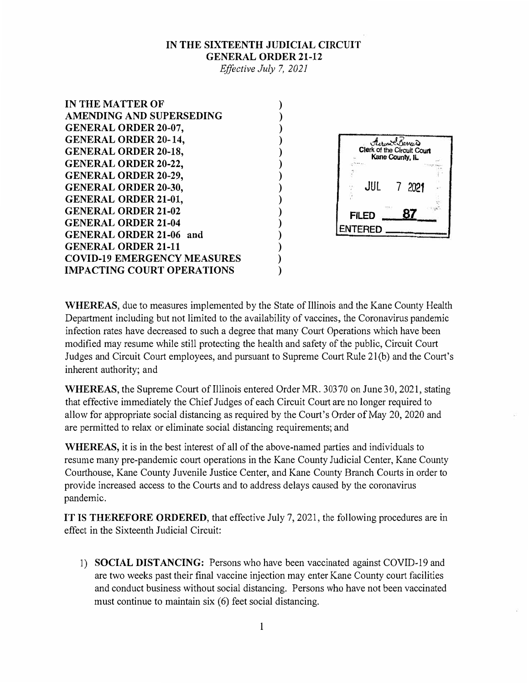## **IN THE SIXTEENTH JUDICIAL CIRCUIT GENERAL ORDER 21-12**

*Effective July* 7, *2021* 

**) ) ) ) ) ) ) ) ) ) ) ) ) ) )** 

IN THE MATTER OF AMENDING AND SUPERSEDING GENERAL ORDER 20-07, GENERAL ORDER 20-14, GENERAL ORDER 20-18, GENERAL ORDER 20-22, GENERAL ORDER 20-29, GENERAL ORDER 20-30, GENERAL ORDER 21-01, **GENERAL ORDER 21-02** GENERAL ORDER 21-04 GENERAL ORDER 21-06 and GENERAL ORDER 21-11 COVID-19 EMERGENCY MEASURES IMPACTING COURT OPERATIONS



**WHEREAS,** due to measures implemented by the State of Illinois and the Kane County Health Department including but not limited to the availability of vaccines, the Coronavirus pandemic infection rates have decreased to such a degree that many Court Operations which have been modified may resume while still protecting the health and safety of the public, Circuit Court Judges and Circuit Court employees, and pursuant to Supreme Court Rule 2l(b) and the Court's inherent authority; and

**WHEREAS,** the Supreme Court of Illinois entered Order MR. 30370 on June 30, 2021, stating that effective immediately the Chief Judges of each Circuit Court are no longer required to allow for appropriate social distancing as required by the Court's Order of May 20, 2020 and are permitted to relax or eliminate social distancing requirements; and

**WHEREAS,** it is in the best interest of all of the above-named parties and individuals to resume many pre-pandemic court operations in the Kane County Judicial Center, Kane County Courthouse, Kane County Juvenile Justice Center, and Kane County Branch Courts in order to provide increased access to the Courts and to address delays caused by the coronavirus pandemic.

**IT IS THEREFORE ORDERED,** that effective July 7, 2021, the following procedures are in effect in the Sixteenth Judicial Circuit:

1) **SOCIAL DISTANCING:** Persons who have been vaccinated against COVID-19 and are two weeks past their final vaccine injection may enter Kane County court facilities and conduct business without social distancing. Persons who have not been vaccinated must continue to maintain six (6) feet social distancing.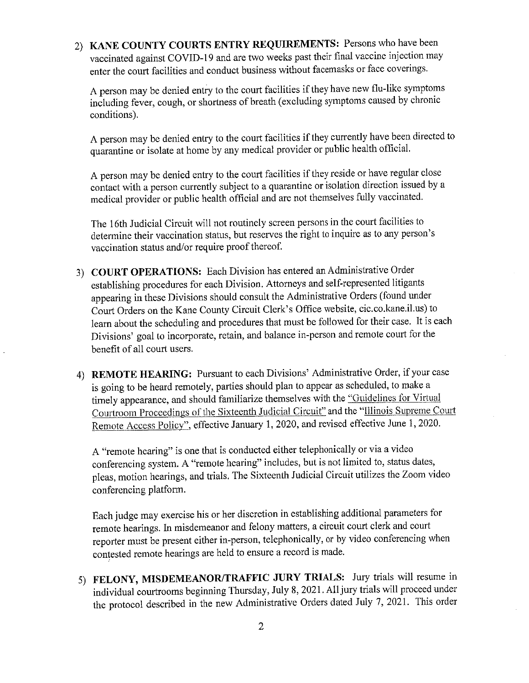2) KANE COUNTY COURTS ENTRY REQUIREMENTS: Persons who have been vaccinated against COVID-19 and are two weeks past their final vaccine injection may enter the court facilities and conduct business without facemasks or face coverings.

A person may be denied entry to the court facilities if they have new flu-like symptoms including fever, cough, or shortness of breath (excluding symptoms caused by chronic conditions).

A person may be denied entry to the court facilities if they currently have been directed to quarantine or isolate at home by any medical provider or public health official.

A person may be denied entry to the court facilities if they reside or have regular close contact with a person currently subject to a quarantine or isolation direction issued by a medical provider or public health official and are not themselves fully vaccinated.

The 16th Judicial Circuit will not routinely screen persons in the court facilities to determine their vaccination status, but reserves the right to inquire as to any person's vaccination status and/or require proof thereof.

- 3) COURT OPERATIONS: Each Division has entered an Administrative Order establishing procedures for each Division. Attorneys and self-represented litigants appearing in these Divisions should consult the Administrative Orders (found under Court Orders on the Kane County Circuit Clerk's Office website, cic.co.kane.il.us) to learn about the scheduling and procedures that must be followed for their case. It is each Divisions' goal to incorporate, retain, and balance in-person and remote court for the benefit of all court users.
- 4) REMOTE HEARING: Pursuant to each Divisions' Administrative Order, if your case is going to be heard remotely, parties should plan to appear as scheduled, to make a timely appearance, and should familiarize themselves with the "Guidelines for Virtual Courtroom Proceedings of the Sixteenth Judicial Circuit" and the "Illinois Supreme Court Remote Access Policy", effective January 1, 2020, and revised effective June 1, 2020.

A "remote hearing" is one that is conducted either telephonically or via a video conferencing system. A "remote hearing" includes, but is not limited to, status dates, pleas, motion hearings, and trials. The Sixteenth Judicial Circuit utilizes the Zoom video conferencing platform.

Each judge may exercise his or her discretion in establishing additional parameters for remote hearings. In misdemeanor and felony matters, a circuit court clerk and court reporter must be present either in-person, telephonically, or by video conferencing when contested remote hearings are held to ensure a record is made.

5) FELONY, MISDEMEANOR/TRAFFIC JURY TRIALS: Jury trials will resume in individual courtrooms beginning Thursday, July 8, 2021. All jury trials will proceed under the protocol described in the new Administrative Orders dated July 7, 2021. This order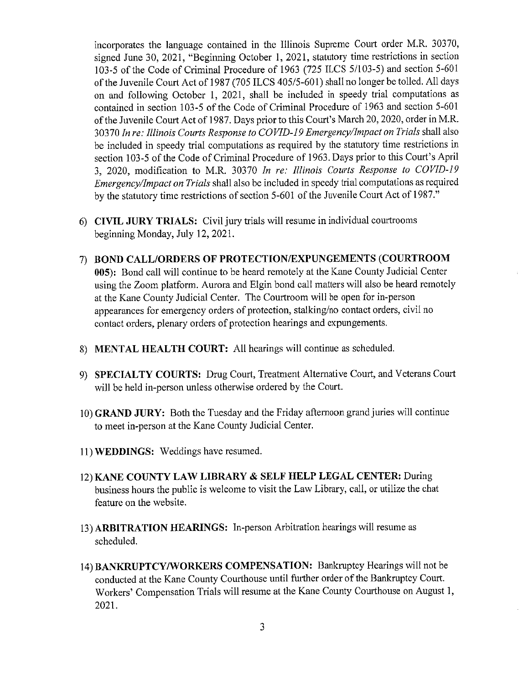incorporates the language contained in the Illinois Supreme Court order M.R. 30370, signed June 30, 2021, "Beginning October 1, 2021, statutory time restrictions in section 103-5 of the Code of Criminal Procedure of 1963 (725 ILCS 5/103-5) and section 5-601 of the Juvenile Court Act of 1987 (705 ILCS 405/5-601) shall no longer be tolled. All days on and following October 1, 2021, shall be included in speedy trial computations as contained in section 103-5 of the Code of Criminal Procedure of 1963 and section 5-601 of the Juvenile Court Act of 1987. Days prior to this Court's March 20, 2020, order in M.R. 30370 In re: Illinois Courts Response to COVID-19 Emergency/Impact on Trials shall also be included in speedy trial computations as required by the statutory time restrictions in section 103-5 of the Code of Criminal Procedure of 1963. Days prior to this Court's April 3, 2020, modification to M.R. 30370 In re: Illinois Courts Response to COVID-19 Emergency/Impact on Trials shall also be included in speedy trial computations as required by the statutory time restrictions of section 5-601 of the Juvenile Court Act of 1987."

- 6) CIVIL JURY TRIALS: Civil jury trials will resume in individual courtrooms beginning Monday, July 12, 2021.
- 7) BOND CALL/ORDERS OF PROTECTION/EXPUNGEMENTS (COURTROOM 005): Bond call will continue to be heard remotely at the Kane County Judicial Center using the Zoom platform. Aurora and Elgin bond call matters will also be heard remotely at the Kane County Judicial Center. The Courtroom will be open for in-person appearances for emergency orders of protection, stalking/no contact orders, civil no contact orders, plenary orders of protection hearings and expungements.
- 8) MENTAL HEALTH COURT: All hearings will continue as scheduled.
- 9) SPECIALTY COURTS: Drug Court, Treatment Alternative Court, and Veterans Court will be held in-person unless otherwise ordered by the Court.
- 10) GRAND JURY: Both the Tuesday and the Friday afternoon grand juries will continue to meet in-person at the Kane County Judicial Center.
- 11) **WEDDINGS:** Weddings have resumed.
- 12) KANE COUNTY LAW LIBRARY & SELF HELP LEGAL CENTER: During business hours the public is welcome to visit the Law Library, call, or utilize the chat feature on the website.
- 13) ARBITRATION HEARINGS: In-person Arbitration hearings will resume as scheduled.
- 14) BANKRUPTCY/WORKERS COMPENSATION: Bankruptcy Hearings will not be conducted at the Kane County Courthouse until further order of the Bankruptcy Court. Workers' Compensation Trials will resume at the Kane County Courthouse on August 1, 2021.